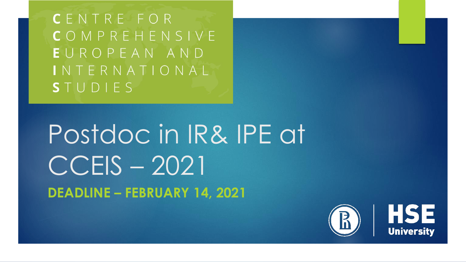**CENTRE FOR** COMPREHENSIVE EUROPEAN AND INTERNATIONAL STUDIES

Postdoc in IR& IPE at CCEIS - 2021 **DEADLINE - FEBRUARY 14, 2021** 

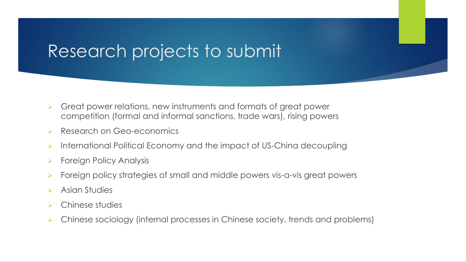# Research projects to submit

- ➢ Great power relations, new instruments and formats of great power competition (formal and informal sanctions, trade wars), rising powers
- ➢ Research on Geo-economics
- ➢ International Political Economy and the impact of US-China decoupling
- ➢ Foreign Policy Analysis
- ➢ Foreign policy strategies of small and middle powers vis-a-vis great powers
- Asian Studies
- ➢ Chinese studies
- ➢ Chinese sociology (internal processes in Chinese society, trends and problems)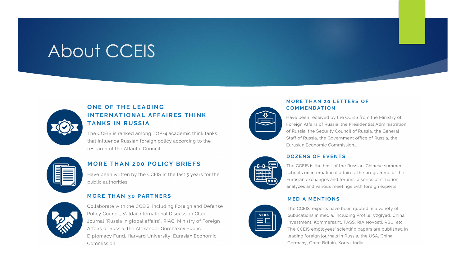# About CCEIS



### ONE OF THE LEADING **INTERNATIONAL AFFAIRES THINK TANKS IN RUSSIA**

The CCEIS is ranked among TOP-4 academic think tanks that influence Russian foreign policy according to the research of the Atlantic Council



### **MORE THAN 200 POLICY BRIEFS**

Have been written by the CCEIS in the last 5 years for the public authorities

#### **MORE THAN 30 PARTNERS**



Collaborate with the CCEIS, including Foreign and Defense Policy Council, Valdai International Discussion Club, Journal "Russia in global affairs", RIAC, Ministry of Foreign Affairs of Russia, the Alexander Gorchakov Public Diplomacy Fund, Harvard University, Eurasian Economic Commission...



#### **MORE THAN 20 LETTERS OF COMMENDATION**

Have been received by the CCEIS from the Ministry of Foreign Affairs of Russia, the Presidential Administration of Russia, the Security Council of Russia, the General Staff of Russia, the Government office of Russia, the Furasian Fconomic Commission...



#### **DOZENS OF EVENTS**

The CCEIS is the host of the Russian-Chinese summer schools on international affaires, the programme of the Eurasian exchanges and forums, a series of situation analyzes and various meetings with foreign experts

#### **MEDIA MENTIONS**



The CCEIS' experts have been quoted in a variety of publications in media, including Profile, Vzglyad, China Investment, Kommersant, TASS, RIA Novosti, RBC, etc. The CCEIS employees' scientific papers are published in leading foreign journals in Russia, the USA, China, Germany, Great Britain, Korea, India...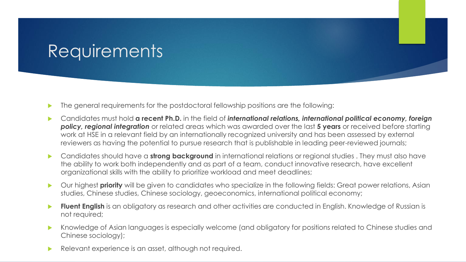### **Requirements**

- The general requirements for the postdoctoral fellowship positions are the following:
- Candidates must hold **a recent Ph.D.** in the field of *international relations, international political economy, foreign policy, regional integration* or related areas which was awarded over the last **5 years** or received before starting work at HSE in a relevant field by an internationally recognized university and has been assessed by external reviewers as having the potential to pursue research that is publishable in leading peer-reviewed journals;
- **Candidates should have a strong background** in international relations or regional studies. They must also have the ability to work both independently and as part of a team, conduct innovative research, have excellent organizational skills with the ability to prioritize workload and meet deadlines;
- Our highest **priority** will be given to candidates who specialize in the following fields: Great power relations, Asian studies, Chinese studies, Chinese sociology, geoeconomics, international political economy;
- **Fluent English** is an obligatory as research and other activities are conducted in English. Knowledge of Russian is not required;
- Knowledge of Asian languages is especially welcome (and obligatory for positions related to Chinese studies and Chinese sociology);
- Relevant experience is an asset, although not required.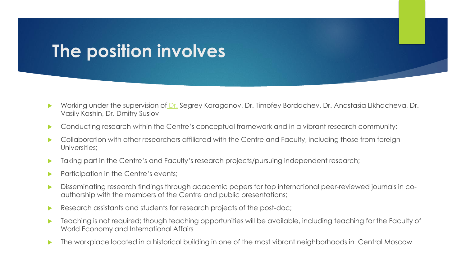### **The position involves**

- ▶ Working under the supervision of [Dr.](https://www.kent.ac.uk/politics/staff/canterbury/sakwa.html) Segrey Karaganov, Dr. Timofey Bordachev, Dr. Anastasia LIkhacheva, Dr. Vasily Kashin, Dr. Dmitry Suslov
- **Conducting research within the Centre's conceptual framework and in a vibrant research community;**
- ▶ Collaboration with other researchers affiliated with the Centre and Faculty, including those from foreign Universities;
- **Taking part in the Centre's and Faculty's research projects/pursuing independent research;**
- **Participation in the Centre's events;**
- Disseminating research findings through academic papers for top international peer-reviewed journals in coauthorship with the members of the Centre and public presentations;
- Research assistants and students for research projects of the post-doc;
- **Teaching is not required; though teaching opportunities will be available, including teaching for the Faculty of** World Economy and International Affairs
- **The workplace located in a historical building in one of the most vibrant neighborhoods in Central Moscow**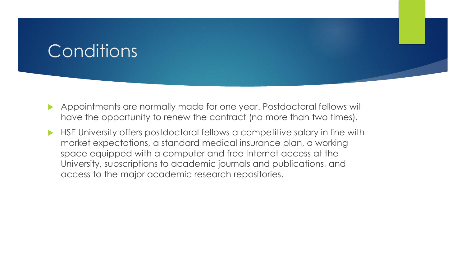# **Conditions**

- Appointments are normally made for one year. Postdoctoral fellows will have the opportunity to renew the contract (no more than two times).
- HSE University offers postdoctoral fellows a competitive salary in line with market expectations, a standard medical insurance plan, a working space equipped with a computer and free Internet access at the University, subscriptions to academic journals and publications, and access to the major academic research repositories.